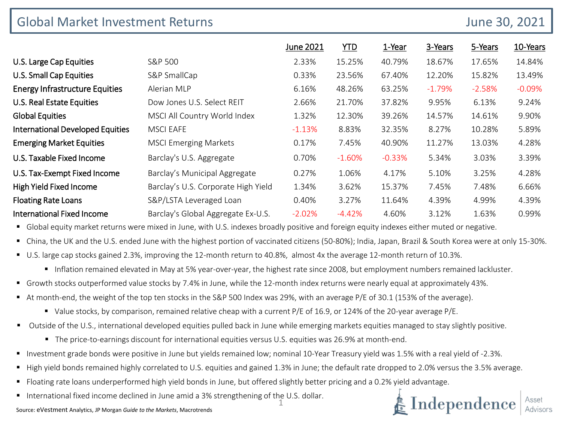| <b>Global Market Investment Returns</b> | June 30, 2021                       |           |            |          |          |          |          |
|-----------------------------------------|-------------------------------------|-----------|------------|----------|----------|----------|----------|
|                                         |                                     | June 2021 | <b>YTD</b> | 1-Year   | 3-Years  | 5-Years  | 10-Years |
| U.S. Large Cap Equities                 | S&P 500                             | 2.33%     | 15.25%     | 40.79%   | 18.67%   | 17.65%   | 14.84%   |
| <b>U.S. Small Cap Equities</b>          | S&P SmallCap                        | 0.33%     | 23.56%     | 67.40%   | 12.20%   | 15.82%   | 13.49%   |
| <b>Energy Infrastructure Equities</b>   | Alerian MLP                         | 6.16%     | 48.26%     | 63.25%   | $-1.79%$ | $-2.58%$ | $-0.09%$ |
| U.S. Real Estate Equities               | Dow Jones U.S. Select REIT          | 2.66%     | 21.70%     | 37.82%   | 9.95%    | 6.13%    | 9.24%    |
| <b>Global Equities</b>                  | MSCI All Country World Index        | 1.32%     | 12.30%     | 39.26%   | 14.57%   | 14.61%   | 9.90%    |
| <b>International Developed Equities</b> | <b>MSCI EAFE</b>                    | $-1.13%$  | 8.83%      | 32.35%   | 8.27%    | 10.28%   | 5.89%    |
| <b>Emerging Market Equities</b>         | <b>MSCI Emerging Markets</b>        | 0.17%     | 7.45%      | 40.90%   | 11.27%   | 13.03%   | 4.28%    |
| U.S. Taxable Fixed Income               | Barclay's U.S. Aggregate            | 0.70%     | $-1.60%$   | $-0.33%$ | 5.34%    | 3.03%    | 3.39%    |
| U.S. Tax-Exempt Fixed Income            | Barclay's Municipal Aggregate       | 0.27%     | 1.06%      | 4.17%    | 5.10%    | 3.25%    | 4.28%    |
| High Yield Fixed Income                 | Barclay's U.S. Corporate High Yield | 1.34%     | 3.62%      | 15.37%   | 7.45%    | 7.48%    | 6.66%    |
| <b>Floating Rate Loans</b>              | S&P/LSTA Leveraged Loan             | 0.40%     | 3.27%      | 11.64%   | 4.39%    | 4.99%    | 4.39%    |
| <b>International Fixed Income</b>       | Barclay's Global Aggregate Ex-U.S.  | $-2.02%$  | $-4.42%$   | 4.60%    | 3.12%    | 1.63%    | 0.99%    |

Global equity market returns were mixed in June, with U.S. indexes broadly positive and foreign equity indexes either muted or negative.

China, the UK and the U.S. ended June with the highest portion of vaccinated citizens (50-80%); India, Japan, Brazil & South Korea were at only 15-30%.

- U.S. large cap stocks gained 2.3%, improving the 12-month return to 40.8%, almost 4x the average 12-month return of 10.3%.
	- Inflation remained elevated in May at 5% year-over-year, the highest rate since 2008, but employment numbers remained lackluster.
- Growth stocks outperformed value stocks by 7.4% in June, while the 12-month index returns were nearly equal at approximately 43%.
- At month-end, the weight of the top ten stocks in the S&P 500 Index was 29%, with an average P/E of 30.1 (153% of the average).
	- Value stocks, by comparison, remained relative cheap with a current P/E of 16.9, or 124% of the 20-year average P/E.
- Outside of the U.S., international developed equities pulled back in June while emerging markets equities managed to stay slightly positive.
	- The price-to-earnings discount for international equities versus U.S. equities was 26.9% at month-end.
- Investment grade bonds were positive in June but yields remained low; nominal 10-Year Treasury yield was 1.5% with a real yield of -2.3%.
- High yield bonds remained highly correlated to U.S. equities and gained 1.3% in June; the default rate dropped to 2.0% versus the 3.5% average.
- Floating rate loans underperformed high yield bonds in June, but offered slightly better pricing and a 0.2% yield advantage.
- International fixed income declined in June amid a 3% strengthening of the U.S. dollar.

 $\boldsymbol{\mathop{\text{in}}\nolimits}$  Independence  $|^\text{\tiny\rm Asset}_{\text{\tiny\rm Advisor}}$ 

Source: eVestment Analytics, JP Morgan *Guide to the Markets*, Macrotrends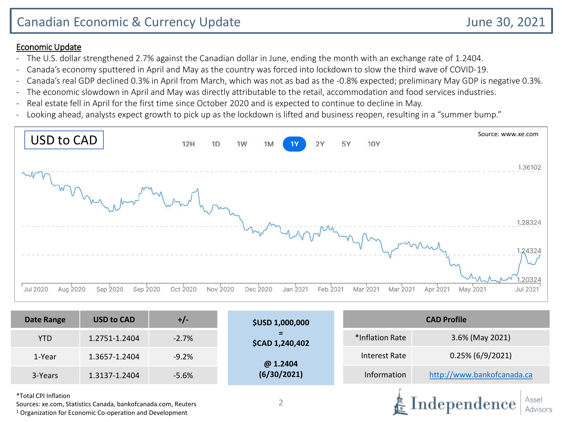аерепаенс

Advisors

### Economic Update

- The U.S. dollar strengthened 2.7% against the Canadian dollar in June, ending the month with an exchange rate of 1.2404.
- Canada's economy sputtered in April and May as the country was forced into lockdown to slow the third wave of COVID-19.
- Canada's real GDP declined 0.3% in April from March, which was not as bad as the -0.8% expected; preliminary May GDP is negative 0.3%.
- The economic slowdown in April and May was directly attributable to the retail, accommodation and food services industries.
- Real estate fell in April for the first time since October 2020 and is expected to continue to decline in May.
- Looking ahead, analysts expect growth to pick up as the lockdown is lifted and business reopen, resulting in a "summer bump."



| <b>Date Range</b>    | <b>USD to CAD</b> | $+/-$   | <b>\$USD 1,000,000</b> | <b>CAD Profile</b> |                            |  |  |  |
|----------------------|-------------------|---------|------------------------|--------------------|----------------------------|--|--|--|
| <b>YTD</b>           | 1.2751-1.2404     | $-2.7%$ | Ξ<br>\$CAD 1,240,402   | *Inflation Rate    | 3.6% (May 2021)            |  |  |  |
| 1-Year               | 1.3657-1.2404     | $-9.2%$ | @ 1.2404               | Interest Rate      | $0.25\%$ (6/9/2021)        |  |  |  |
| 3-Years              | 1.3137-1.2404     | $-5.6%$ | (6/30/2021)            | Information        | http://www.bankofcanada.ca |  |  |  |
| *Total CPI Inflation |                   |         |                        |                    | Indonesdance<br>Asset      |  |  |  |

Sources: xe.com, Statistics Canada, bankofcanada.com, Reuters <sup>1</sup> Organization for Economic Co-operation and Development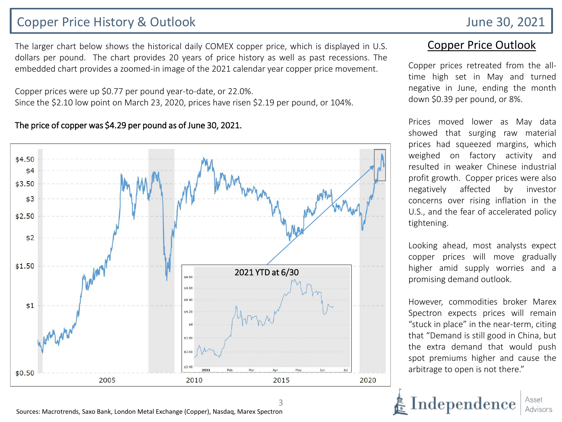# Copper Price History & Outlook June 30, 2021

The larger chart below shows the historical daily COMEX copper price, which is displayed in U.S. dollars per pound. The chart provides 20 years of price history as well as past recessions. The embedded chart provides a zoomed-in image of the 2021 calendar year copper price movement.

Copper prices were up \$0.77 per pound year-to-date, or 22.0%. Since the \$2.10 low point on March 23, 2020, prices have risen \$2.19 per pound, or 104%.

#### The price of copper was \$4.29 per pound as of June 30, 2021.



3

### Copper Price Outlook

Copper prices retreated from the alltime high set in May and turned negative in June, ending the month down \$0.39 per pound, or 8%.

Prices moved lower as May data showed that surging raw material prices had squeezed margins, which weighed on factory activity and resulted in weaker Chinese industrial profit growth. Copper prices were also negatively affected by investor concerns over rising inflation in the U.S., and the fear of accelerated policy tightening.

Looking ahead, most analysts expect copper prices will move gradually higher amid supply worries and a promising demand outlook.

However, commodities broker Marex Spectron expects prices will remain "stuck in place" in the near-term, citing that "Demand is still good in China, but the extra demand that would push spot premiums higher and cause the arbitrage to open is not there."

Independence